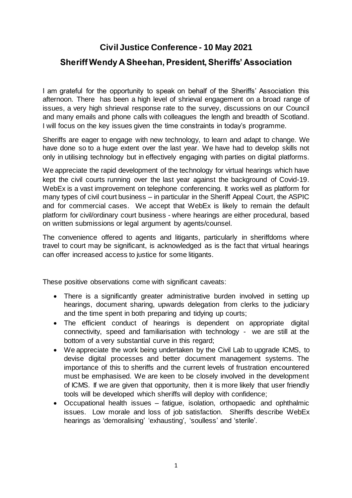## **Civil Justice Conference - 10 May 2021**

## **Sheriff Wendy A Sheehan, President, Sheriffs' Association**

I am grateful for the opportunity to speak on behalf of the Sheriffs' Association this afternoon. There has been a high level of shrieval engagement on a broad range of issues, a very high shrieval response rate to the survey, discussions on our Council and many emails and phone calls with colleagues the length and breadth of Scotland. I will focus on the key issues given the time constraints in today's programme.

Sheriffs are eager to engage with new technology, to learn and adapt to change. We have done so to a huge extent over the last year. We have had to develop skills not only in utilising technology but in effectively engaging with parties on digital platforms.

We appreciate the rapid development of the technology for virtual hearings which have kept the civil courts running over the last year against the background of Covid-19. WebEx is a vast improvement on telephone conferencing. It works well as platform for many types of civil court business – in particular in the Sheriff Appeal Court, the ASPIC and for commercial cases. We accept that WebEx is likely to remain the default platform for civil/ordinary court business - where hearings are either procedural, based on written submissions or legal argument by agents/counsel.

The convenience offered to agents and litigants, particularly in sheriffdoms where travel to court may be significant, is acknowledged as is the fact that virtual hearings can offer increased access to justice for some litigants.

These positive observations come with significant caveats:

- There is a significantly greater administrative burden involved in setting up hearings, document sharing, upwards delegation from clerks to the judiciary and the time spent in both preparing and tidying up courts;
- The efficient conduct of hearings is dependent on appropriate digital connectivity, speed and familiarisation with technology - we are still at the bottom of a very substantial curve in this regard;
- We appreciate the work being undertaken by the Civil Lab to upgrade ICMS, to devise digital processes and better document management systems. The importance of this to sheriffs and the current levels of frustration encountered must be emphasised. We are keen to be closely involved in the development of ICMS. If we are given that opportunity, then it is more likely that user friendly tools will be developed which sheriffs will deploy with confidence;
- Occupational health issues fatigue, isolation, orthopaedic and ophthalmic issues. Low morale and loss of job satisfaction. Sheriffs describe WebEx hearings as 'demoralising' 'exhausting', 'soulless' and 'sterile'.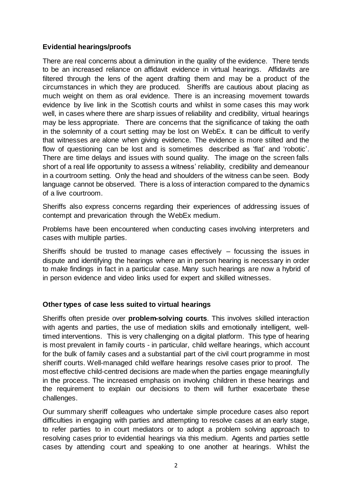## **Evidential hearings/proofs**

There are real concerns about a diminution in the quality of the evidence. There tends to be an increased reliance on affidavit evidence in virtual hearings. Affidavits are filtered through the lens of the agent drafting them and may be a product of the circumstances in which they are produced. Sheriffs are cautious about placing as much weight on them as oral evidence. There is an increasing movement towards evidence by live link in the Scottish courts and whilst in some cases this may work well, in cases where there are sharp issues of reliability and credibility, virtual hearings may be less appropriate. There are concerns that the significance of taking the oath in the solemnity of a court setting may be lost on WebEx. It can be difficult to verify that witnesses are alone when giving evidence. The evidence is more stilted and the flow of questioning can be lost and is sometimes described as 'flat' and 'robotic'. There are time delays and issues with sound quality. The image on the screen falls short of a real life opportunity to assess a witness' reliability, credibility and demeanour in a courtroom setting. Only the head and shoulders of the witness can be seen. Body language cannot be observed. There is a loss of interaction compared to the dynamics of a live courtroom.

Sheriffs also express concerns regarding their experiences of addressing issues of contempt and prevarication through the WebEx medium.

Problems have been encountered when conducting cases involving interpreters and cases with multiple parties.

Sheriffs should be trusted to manage cases effectively – focussing the issues in dispute and identifying the hearings where an in person hearing is necessary in order to make findings in fact in a particular case. Many such hearings are now a hybrid of in person evidence and video links used for expert and skilled witnesses.

## **Other types of case less suited to virtual hearings**

Sheriffs often preside over **problem-solving courts**. This involves skilled interaction with agents and parties, the use of mediation skills and emotionally intelligent, welltimed interventions. This is very challenging on a digital platform. This type of hearing is most prevalent in family courts - in particular, child welfare hearings, which account for the bulk of family cases and a substantial part of the civil court programme in most sheriff courts. Well-managed child welfare hearings resolve cases prior to proof. The most effective child-centred decisions are made when the parties engage meaningfully in the process. The increased emphasis on involving children in these hearings and the requirement to explain our decisions to them will further exacerbate these challenges.

Our summary sheriff colleagues who undertake simple procedure cases also report difficulties in engaging with parties and attempting to resolve cases at an early stage, to refer parties to in court mediators or to adopt a problem solving approach to resolving cases prior to evidential hearings via this medium. Agents and parties settle cases by attending court and speaking to one another at hearings. Whilst the